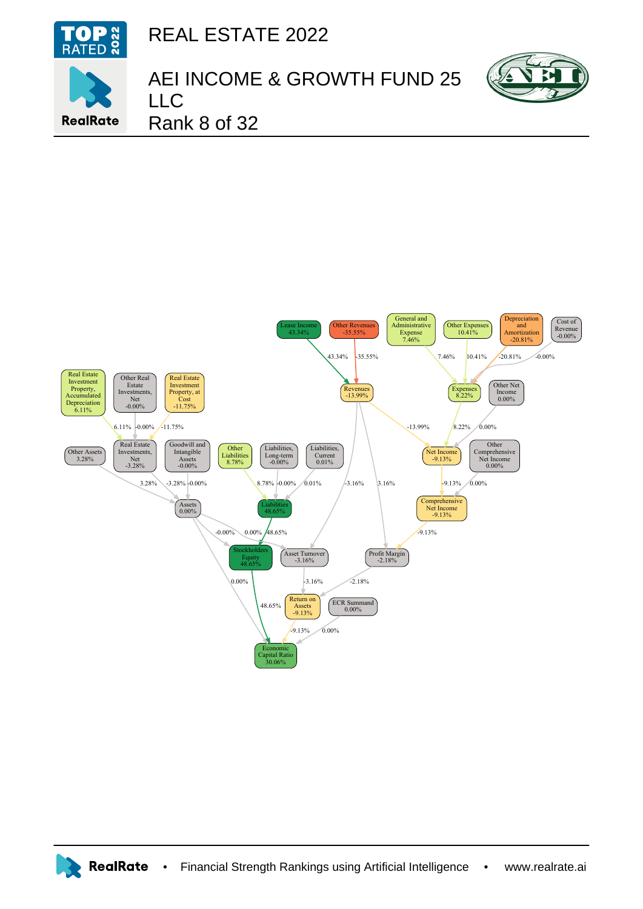

REAL ESTATE 2022





AEI INCOME & GROWTH FUND 25 LLC

Rank 8 of 32